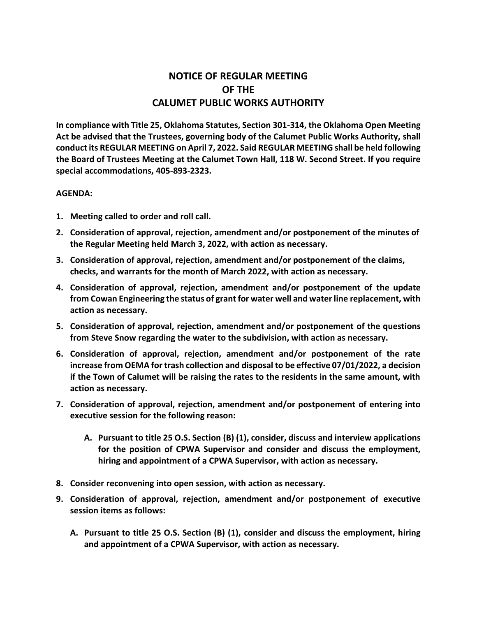## **NOTICE OF REGULAR MEETING OF THE CALUMET PUBLIC WORKS AUTHORITY**

**In compliance with Title 25, Oklahoma Statutes, Section 301-314, the Oklahoma Open Meeting Act be advised that the Trustees, governing body of the Calumet Public Works Authority, shall conduct its REGULAR MEETING on April 7, 2022. Said REGULAR MEETING shall be held following the Board of Trustees Meeting at the Calumet Town Hall, 118 W. Second Street. If you require special accommodations, 405-893-2323.**

## **AGENDA:**

- **1. Meeting called to order and roll call.**
- **2. Consideration of approval, rejection, amendment and/or postponement of the minutes of the Regular Meeting held March 3, 2022, with action as necessary.**
- **3. Consideration of approval, rejection, amendment and/or postponement of the claims, checks, and warrants for the month of March 2022, with action as necessary.**
- **4. Consideration of approval, rejection, amendment and/or postponement of the update from Cowan Engineering the status of grant for water well and water line replacement, with action as necessary.**
- **5. Consideration of approval, rejection, amendment and/or postponement of the questions from Steve Snow regarding the water to the subdivision, with action as necessary.**
- **6. Consideration of approval, rejection, amendment and/or postponement of the rate increase from OEMA for trash collection and disposal to be effective 07/01/2022, a decision if the Town of Calumet will be raising the rates to the residents in the same amount, with action as necessary.**
- **7. Consideration of approval, rejection, amendment and/or postponement of entering into executive session for the following reason:**
	- **A. Pursuant to title 25 O.S. Section (B) (1), consider, discuss and interview applications for the position of CPWA Supervisor and consider and discuss the employment, hiring and appointment of a CPWA Supervisor, with action as necessary.**
- **8. Consider reconvening into open session, with action as necessary.**
- **9. Consideration of approval, rejection, amendment and/or postponement of executive session items as follows:**
	- **A. Pursuant to title 25 O.S. Section (B) (1), consider and discuss the employment, hiring and appointment of a CPWA Supervisor, with action as necessary.**